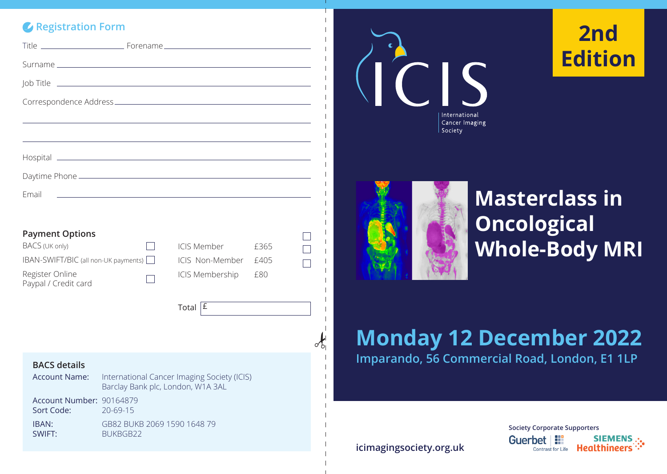# *C* Registration Form

| Job Title <u>__________________________________</u> ____                                                                        |                                                           |                                                                         |                     |  |
|---------------------------------------------------------------------------------------------------------------------------------|-----------------------------------------------------------|-------------------------------------------------------------------------|---------------------|--|
|                                                                                                                                 |                                                           |                                                                         |                     |  |
|                                                                                                                                 |                                                           |                                                                         |                     |  |
|                                                                                                                                 |                                                           |                                                                         |                     |  |
|                                                                                                                                 |                                                           |                                                                         |                     |  |
|                                                                                                                                 |                                                           |                                                                         |                     |  |
| Email                                                                                                                           |                                                           |                                                                         |                     |  |
| <b>Payment Options</b><br>BACS (UK only)<br>IBAN-SWIFT/BIC (all non-UK payments)  <br>Register Online<br>Paypal / Credit card   |                                                           | <b>ICIS Member</b><br>ICIS Non-Member<br>ICIS Membership<br>Total $ E $ | £365<br>£405<br>£80 |  |
| <b>BACS details</b><br><b>Account Name:</b><br>International Cancer Imaging Society (ICIS)<br>Barclay Bank plc, London, W1A 3AL |                                                           |                                                                         |                     |  |
| Account Number: 90164879<br>Sort Code:<br>IBAN:<br>SWIFT:                                                                       | $20 - 69 - 15$<br>GB82 BUKB 2069 1590 1648 79<br>BUKBGB22 |                                                                         |                     |  |



# **2nd Edition**



# **Masterclass in Oncological Whole-Body MRI**

# **Monday 12 December 2022 Imparando, 56 Commercial Road, London, E1 1LP**

**icimagingsociety.org.uk**

**Society Corporate Supporters** Guerbet | !! SIEMENS .. Contrast for Life **Healthineers**